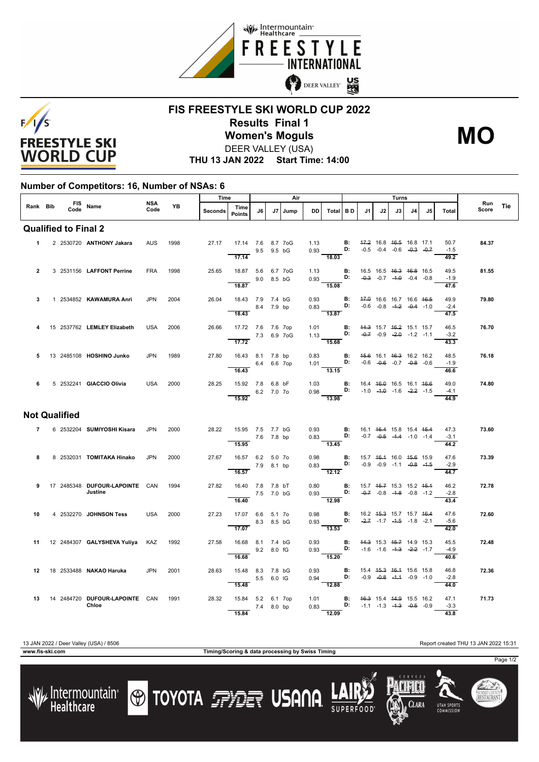



## **FIS FREESTYLE SKI WORLD CUP 2022 Results Final 1** DEER VALLEY (USA) **Women's Moguls MO**

**THU 13 JAN 2022 Start Time: 14:00**

## **Number of Competitors: 16, Number of NSAs: 6**

| Rank Bib                    |             |  |      | FIS Name                                             | NSA<br>Code | <b>YB</b> | Time           |                                          | Air        |    |      |      |                                                                                                                              | Turns                                                       |    |                                    |    |    |                |              |     |
|-----------------------------|-------------|--|------|------------------------------------------------------|-------------|-----------|----------------|------------------------------------------|------------|----|------|------|------------------------------------------------------------------------------------------------------------------------------|-------------------------------------------------------------|----|------------------------------------|----|----|----------------|--------------|-----|
|                             |             |  | Code |                                                      |             |           | <b>Seconds</b> | Time<br><b>Points</b>                    | J6         | J7 | Jump | DD.  | Total BD                                                                                                                     | J1                                                          | J2 | J3 I                               | J4 | J5 | Total          | Run<br>Score | Tie |
| <b>Qualified to Final 2</b> |             |  |      |                                                      |             |           |                |                                          |            |    |      |      |                                                                                                                              |                                                             |    |                                    |    |    |                |              |     |
|                             | $\mathbf 1$ |  |      | 2 2530720 ANTHONY Jakara                             | <b>AUS</b>  | 1998      | 27.17          | 17.14 7.6 8.7 7oG                        | 9.5 9.5 bG |    |      |      | 1.13 <b>B:</b> $\frac{47.2}{16.8}$ 16.8 $\frac{46.5}{16.8}$ 16.8 17.1<br>0.93 <b>D:</b> -0.5 -0.4 -0.6 -0. <del>3</del> -0.7 |                                                             |    | $-0.5$ $-0.4$ $-0.6$ $-0.3$ $-0.7$ |    |    | 50.7<br>$-1.5$ | 84.37        |     |
|                             |             |  |      |                                                      |             |           |                | 17.14                                    |            |    |      |      | 18.03                                                                                                                        |                                                             |    |                                    |    |    | 49.2           |              |     |
| $\overline{2}$              |             |  |      | 3 2531156 LAFFONT Perrine                            | <b>FRA</b>  | 1998      | 25.65          | 18.87 5.6 6.7 7oG<br>$9.0$ 8.5 bG        |            |    |      |      | 1.13 <b>B:</b> 16.5 16.5 <del>16.3 16.8</del> 16.5<br>0.93 <b>D:</b> -0.3 -0.7 -1.0 -0.4 -0.8                                |                                                             |    |                                    |    |    | 49.5<br>$-1.9$ | 81.55        |     |
|                             |             |  |      |                                                      |             |           |                | 18.87                                    |            |    |      |      | $\overline{15.08}$                                                                                                           |                                                             |    |                                    |    |    | 47.6           |              |     |
| 3                           |             |  |      | 1 2534852 KAWAMURA Anri                              | <b>JPN</b>  | 2004      | 26.04          | 18.43 7.9 7.4 bG<br>8.4 7.9 bp           |            |    |      |      | 0.93 <b>B</b> : 47.0 16.6 16.7 16.6 46.5<br>0.83 <b>D:</b> -0.6 -0.8 -4-2 -0.4 1.0                                           |                                                             |    |                                    |    |    | 49.9<br>$-2.4$ | 79.80        |     |
|                             |             |  |      |                                                      |             |           |                | 18.43                                    |            |    |      |      | 13.87                                                                                                                        |                                                             |    |                                    |    |    | 47.5           |              |     |
| 4                           |             |  |      | 15 2537762 LEMLEY Elizabeth                          | USA         | 2006      | 26.66          | 17.72 7.6 7.6 7op<br>$7.3 \t 6.9 \t 70G$ |            |    |      |      | 1.01 <b>B:</b> 44.3 15.7 46.2 15.1 15.7<br>1.13 <b>D:</b> -0.7 -0.9 -2.0 -1.2 -1.1                                           |                                                             |    |                                    |    |    | 46.5<br>$-3.2$ | 76.70        |     |
|                             |             |  |      |                                                      |             |           |                | 17.72                                    |            |    |      |      | $-15.68$                                                                                                                     |                                                             |    |                                    |    |    | 43.3           |              |     |
| 5                           |             |  |      | 13 2485108 HOSHINO Junko                             | <b>JPN</b>  | 1989      | 27.80          | 16.43 8.1 7.8 bp<br>6.4 6.6 7op          |            |    |      |      | 0.83 <b>B:</b> 4 <del>5.6</del> 16.1 4 <del>6.3</del> 16.2 16.2<br>1.01 <b>D:</b> -0.6 -0.6 -0.7 -0.8 -0.6                   |                                                             |    |                                    |    |    | 48.5<br>$-1.9$ | 76.18        |     |
|                             |             |  |      |                                                      |             |           |                | 16.43                                    |            |    |      |      | 13.15                                                                                                                        |                                                             |    |                                    |    |    | 46.6           |              |     |
| 6                           |             |  |      | 5 2532241 GIACCIO Olivia                             | USA         | 2000      | 28.25          | 15.92 7.8 6.8 bF<br>$-6.2$ 7.0 7o        |            |    |      |      | 1.03 <b>B</b> : 16.4 <del>16.0</del> 16.5 16.1 <del>16.6</del><br>0.98 <b>D</b> : -1.0 -1.0 -1.6 -2.2 -1.5                   |                                                             |    |                                    |    |    | 49.0<br>$-4.1$ | 74.80        |     |
|                             |             |  |      |                                                      |             |           |                | 15.92                                    |            |    |      |      | $\overline{13.98}$                                                                                                           |                                                             |    |                                    |    |    | 44.9           |              |     |
| <b>Not Qualified</b>        |             |  |      |                                                      |             |           |                |                                          |            |    |      |      |                                                                                                                              |                                                             |    |                                    |    |    |                |              |     |
|                             | $7^{\circ}$ |  |      | 6 2532204 SUMIYOSHI Kisara                           | <b>JPN</b>  | 2000      |                | 28.22 15.95 7.5 7.7 bG<br>$-7.6$ 7.8 bp  |            |    |      |      | 0.93 <b>B:</b> 16.1 <del>16.4</del> 15.8 15.4 <del>15.4</del><br>0.83 <b>D:</b> $-0.7$ $-0.5$ $-4.4$ $-1.0$ $-1.4$           |                                                             |    |                                    |    |    | 47.3<br>$-3.1$ | 73.60        |     |
|                             |             |  |      |                                                      |             |           |                | 15.95                                    |            |    |      |      | $\overline{13.45}$                                                                                                           |                                                             |    |                                    |    |    | 44.2           |              |     |
| 8                           |             |  |      | 8 2532031 TOMITAKA Hinako                            | <b>JPN</b>  | 2000      | 27.67          | 16.57 6.2 5.0 7o                         | 7.9 8.1 bp |    |      | 0.98 | $0.83$ D: $-0.9$ $-0.9$ $-1.1$ $-0.8$ $-1.5$                                                                                 | <b>B:</b> 15.7 46.4 16.0 45.6 15.9                          |    |                                    |    |    | 47.6<br>$-2.9$ | 73.39        |     |
|                             |             |  |      |                                                      |             |           |                | 16.57                                    |            |    |      |      | $\frac{1}{12.12}$                                                                                                            |                                                             |    |                                    |    |    | 44.7           |              |     |
| 9                           |             |  |      | 17 2485348 DUFOUR-LAPOINTE CAN<br>Justine            |             | 1994      | 27.82          | 16.40 7.8 7.8 bT<br>7.5 7.0 bG           |            |    |      | 0.80 | 0.93 <b>D:</b> $-0.7$ $-0.8$ $-1.8$ $-0.8$ $-1.2$                                                                            | <b>B</b> : 15.7 4 <del>5.7</del> 15.3 15.2 4 <del>5.1</del> |    |                                    |    |    | 46.2<br>$-2.8$ | 72.78        |     |
|                             |             |  |      |                                                      |             |           |                | 16.40                                    |            |    |      |      | $-12.98$                                                                                                                     |                                                             |    |                                    |    |    | 43.4           |              |     |
| 10                          |             |  |      | 4 2532270 JOHNSON Tess                               | <b>USA</b>  | 2000      | 27.23          | 17.07 6.6 5.1 7o                         | 8.3 8.5 bG |    |      | 0.98 | 0.93 D: $-2.7$ -1.7 -1.5 -1.8 -2.1                                                                                           | <b>B:</b> 16.2 4 <del>5.3</del> 15.7 15.7 46.4              |    |                                    |    |    | 47.6<br>$-5.6$ | 72.60        |     |
|                             |             |  |      |                                                      |             |           |                | 17.07                                    |            |    |      |      | $\overline{13.53}$                                                                                                           |                                                             |    |                                    |    |    | 42.0           |              |     |
|                             |             |  |      | 11 12 2484307 GALYSHEVA Yuliya KAZ                   |             | 1992      | 27.58          | 16.68 8.1 7.4 bG                         | 9.2 8.0 fG |    |      | 0.93 |                                                                                                                              | <b>B:</b> 44.3 15.3 45.7 14.9 15.3                          |    |                                    |    |    | 45.5<br>$-4.9$ | 72.48        |     |
|                             |             |  |      |                                                      |             |           |                | 16.68                                    |            |    |      |      | 15.20                                                                                                                        |                                                             |    |                                    |    |    | 40.6           |              |     |
|                             |             |  |      | 12 18 2533488 NAKAO Haruka                           | JPN         | 2001      | 28.63          | 15.48 8.3 7.8 bG                         | 5.5 6.0 IG |    |      |      | 0.93 <b>B</b> : 15.4 4 <del>5.3</del> 46.4 15.6 15.8<br>0.94 <b>D:</b> -0.9 -0.8 -4.4 -0.9 -1.0                              |                                                             |    |                                    |    |    | 46.8<br>$-2.8$ | 72.36        |     |
|                             |             |  |      |                                                      |             |           |                | 15.48                                    |            |    |      |      | $\overline{12.88}$                                                                                                           |                                                             |    |                                    |    |    | 44.0           |              |     |
|                             |             |  |      | 13  14  2484720  DUFOUR-LAPOINTE  CAN  1991<br>Chloe |             |           | 28.32          | 15.84 5.2 6.1 7op<br>7.4 8.0 bp          |            |    |      |      | 1.01 <b>B:</b> 4 <del>6.3</del> 15.4 44.9 15.5 16.2<br>0.83 <b>D:</b> -1.1 -1.3 - <del>1.3</del> -0.5 -0.9                   |                                                             |    |                                    |    |    | 47.1<br>$-3.3$ | 71.73        |     |
|                             |             |  |      |                                                      |             |           |                | 15.84                                    |            |    |      |      | $\overline{12.09}$                                                                                                           |                                                             |    |                                    |    |    | 43.8           |              |     |

**www.fis-ski.com Timing/Scoring & data processing by Swiss Timing**

Clara

**UTAH SPORT** 

Page 1/2

SUMMIT COUNT<br>**RESTAURAN**T